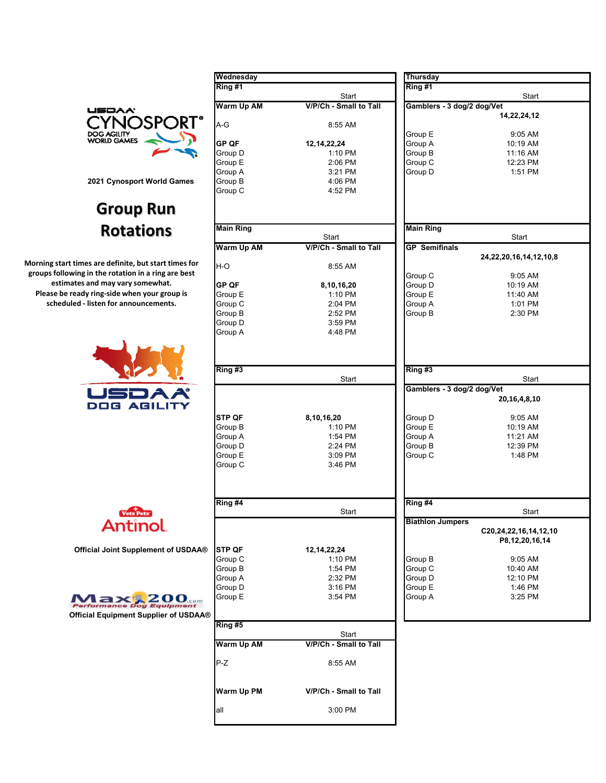

## **Group Run Rotations**

**Morning start times are definite, but start times for groups following in the rotation in a ring are best estimates and may vary somewhat. Please be ready ring‐side when your group is scheduled ‐ listen for announcements.**



|                                           | Wednesday         |                           | <b>Thursday</b>            |                                 |
|-------------------------------------------|-------------------|---------------------------|----------------------------|---------------------------------|
|                                           | Ring #1           |                           | Ring #1                    |                                 |
|                                           |                   | Start                     |                            | Start                           |
| USDAA'                                    | Warm Up AM        | V/P/Ch - Small to Tall    | Gamblers - 3 dog/2 dog/Vet |                                 |
| )SPORT'                                   | A-G               | 8:55 AM                   |                            | 14,22,24,12                     |
| <b>DOG AGILITY</b><br><b>WORLD GAMES</b>  |                   |                           | Group E                    | 9:05 AM                         |
|                                           | GP QF<br>Group D  | 12, 14, 22, 24<br>1:10 PM | Group A<br>Group B         | 10:19 AM<br>11:16 AM            |
|                                           | Group E           | 2:06 PM                   | Group C                    | 12:23 PM                        |
|                                           | Group A           | 3:21 PM                   | Group D                    | 1:51 PM                         |
| 2021 Cynosport World Games                | Group B           | 4:06 PM                   |                            |                                 |
|                                           | Group C           | 4:52 PM                   |                            |                                 |
| <b>Group Run</b>                          |                   |                           |                            |                                 |
| <b>Rotations</b>                          | <b>Main Ring</b>  | Start                     | <b>Main Ring</b>           | Start                           |
|                                           | <b>Warm Up AM</b> | V/P/Ch - Small to Tall    | <b>GP</b> Semifinals       |                                 |
|                                           |                   |                           |                            | 24, 22, 20, 16, 14, 1           |
| t times are definite, but start times for | H-O               | 8:55 AM                   |                            |                                 |
| wing in the rotation in a ring are best   |                   |                           | Group C                    | 9:05 AM                         |
| nates and may vary somewhat.              | GP OF             | 8,10,16,20                | Group D                    | 10:19 AM                        |
| ready ring-side when your group is        | Group E           | 1:10 PM                   | Group E                    | 11:40 AM                        |
| uled - listen for announcements.          | Group C           | 2:04 PM                   | Group A                    | 1:01 PM                         |
|                                           | Group B           | 2:52 PM                   | Group B                    | 2:30 PM                         |
|                                           | Group D           | 3:59 PM                   |                            |                                 |
|                                           | Group A           | 4:48 PM                   |                            |                                 |
|                                           | Ring#3            |                           | Ring #3                    |                                 |
|                                           |                   | Start                     |                            | Start                           |
| USDA<br><b>DOG AGILITY</b>                |                   |                           | Gamblers - 3 dog/2 dog/Vet | 20, 16, 4, 8, 10                |
|                                           |                   |                           |                            |                                 |
|                                           | STP QF<br>Group B | 8,10,16,20<br>1:10 PM     | Group D<br>Group E         | 9:05 AM<br>10:19 AM             |
|                                           | Group A           | 1:54 PM                   | Group A                    | 11:21 AM                        |
|                                           | Group D           | 2:24 PM                   | Group B                    | 12:39 PM                        |
|                                           | Group E           | 3:09 PM                   | Group C                    | 1:48 PM                         |
|                                           | Group C           | 3:46 PM                   |                            |                                 |
|                                           | Ring #4           |                           | Ring #4                    |                                 |
|                                           |                   | Start                     |                            | Start                           |
| Antinol.                                  |                   |                           | <b>Biathlon Jumpers</b>    | C20,24,22,16,14,<br>P8,12,20,16 |
| Official Joint Supplement of USDAA®       | <b>STP QF</b>     | 12, 14, 22, 24            |                            |                                 |
|                                           | Group C           | 1:10 PM                   | Group B                    | 9:05 AM                         |
|                                           | Group B           | 1:54 PM                   | Group C                    | 10:40 AM                        |
|                                           | Group A           | 2:32 PM                   | Group D                    | 12:10 PM                        |
|                                           | Group D           | 3:16 PM                   | Group E                    | 1:46 PM                         |
| $1a\times 200$ com                        | Group E           | 3:54 PM                   | Group A                    | 3:25 PM                         |
|                                           |                   |                           |                            |                                 |
| Official Equipment Supplier of USDAA®     |                   |                           |                            |                                 |
|                                           | Ring #5           |                           |                            |                                 |
|                                           |                   | Start                     |                            |                                 |
|                                           | <b>Warm Up AM</b> | V/P/Ch - Small to Tall    |                            |                                 |
|                                           | P-Z               | 8:55 AM                   |                            |                                 |
|                                           | Warm Up PM        | V/P/Ch - Small to Tall    |                            |                                 |
|                                           | all               | 3:00 PM                   |                            |                                 |
|                                           |                   |                           |                            |                                 |

|                    | Thursday                   |                                         |  |  |
|--------------------|----------------------------|-----------------------------------------|--|--|
| Start              | Ring #1                    | Start                                   |  |  |
| h - Small to Tall  | Gamblers - 3 dog/2 dog/Vet |                                         |  |  |
|                    |                            | 14,22,24,12                             |  |  |
| 8:55 AM            |                            |                                         |  |  |
|                    | Group E                    | 9:05 AM                                 |  |  |
|                    | Group A                    | 10:19 AM                                |  |  |
| 1:10 PM            | Group B                    | 11:16 AM                                |  |  |
| 2:06 PM            | Group C                    | 12:23 PM                                |  |  |
| 3:21 PM            | Group D                    | 1:51 PM                                 |  |  |
|                    |                            |                                         |  |  |
|                    |                            |                                         |  |  |
|                    |                            |                                         |  |  |
|                    | <b>Main Ring</b>           | Start                                   |  |  |
| h - Small to Tall  | <b>GP</b> Semifinals       |                                         |  |  |
|                    |                            | 24, 22, 20, 16, 14, 12, 10, 8           |  |  |
| 8:55 AM            |                            |                                         |  |  |
|                    | Group C                    | 9:05 AM                                 |  |  |
| 3,10,16,20         | Group D                    | 10:19 AM                                |  |  |
| 1:10 PM            | Group E                    | 11:40 AM                                |  |  |
| 2:04 PM<br>2:52 PM | Group A                    | 1:01 PM                                 |  |  |
|                    | Group B                    | 2:30 PM                                 |  |  |
|                    |                            |                                         |  |  |
|                    | Ring #3                    |                                         |  |  |
|                    |                            | Start                                   |  |  |
|                    |                            | Gamblers - 3 dog/2 dog/Vet              |  |  |
|                    |                            | 20,16,4,8,10                            |  |  |
|                    | Group D                    | 9:05 AM                                 |  |  |
| 1:10 PM            | Group E                    | 10:19 AM                                |  |  |
| 1:54 PM            | Group A                    | 11:21 AM                                |  |  |
| 2:24 PM            | Group B                    | 12:39 PM                                |  |  |
|                    | Group C                    | 1:48 PM                                 |  |  |
|                    |                            |                                         |  |  |
|                    |                            |                                         |  |  |
|                    | Ring #4                    | Start                                   |  |  |
|                    | <b>Biathlon Jumpers</b>    |                                         |  |  |
|                    |                            | C20,24,22,16,14,12,10<br>P8,12,20,16,14 |  |  |
|                    |                            |                                         |  |  |
|                    | Group B                    | 9:05 AM                                 |  |  |
|                    | Group C                    | 10:40 AM                                |  |  |
|                    | Group D                    | 12:10 PM                                |  |  |
|                    | Group E                    | 1:46 PM                                 |  |  |
|                    | Group A                    | 3:25 PM                                 |  |  |
|                    |                            |                                         |  |  |
|                    |                            |                                         |  |  |